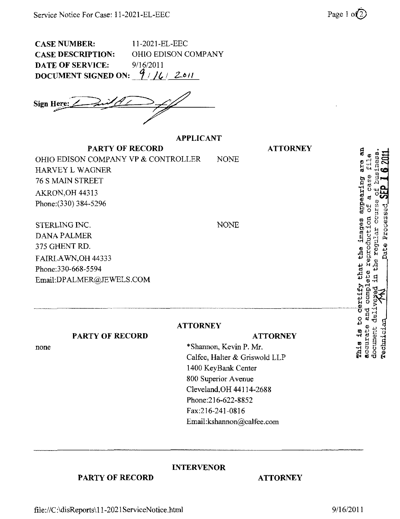CASE NUMBER: 11-2021-EL-EEC CASE DESCRIPTION: OHIO EDISON COMPANY DATE OF SERVICE:  $9/16/2011$ <br>DOCUMENT SIGNED ON:  $9/16/2011$ DOCUMENT SIGNED ON:

Sign Here: ^

## APPLICANT

PARTY OF RECORD OHIO EDISON COMPANY VP & CONTROLLER NONE HARVEY L WAGNER 76 S MAIN STREET AKRON,OH 44313 Phone:(330)384-5296

STERLING INC. DANA PALMER 375 GHENT RD. FAIRLAWN,OH 44333 Phone:330-668-5594 Email: DPALMER@JEWELS.COM

**ATTORNEY** 

PARTY OF RECORD

none

## **ATTORNEY**

ATTORNEY

\*Shannon, Kevin P. Mr. Calfee, Halter & Griswold LLP 1400 KeyBank Center 800 Superior Avenue Cleveland,OH 44114-2688 Phone;216-622-8852 Fax:216-241-0816 Email: kshannon@calfee .com

NONE

INTERVENOR

PARTY OF RECORD ATTORNEY

'3 \* ^ " o <u>" =</u> 01 ric e appearing « n S  $\frac{1}{2}$   $\frac{3}{2}$   $\frac{3}{2}$  $\frac{11}{10}$  $\vec{a}$  is  $\vec{0}$ ច្ចីមុំ ដូថទូ  $\frac{9}{5}$ O **This is**<br>accurate<br>document

" Si 5<br>1900<br>E 2002 rS O O 0)

file://C:\disReports\l 1-2021 ServiceNotice.html 9/16/2011